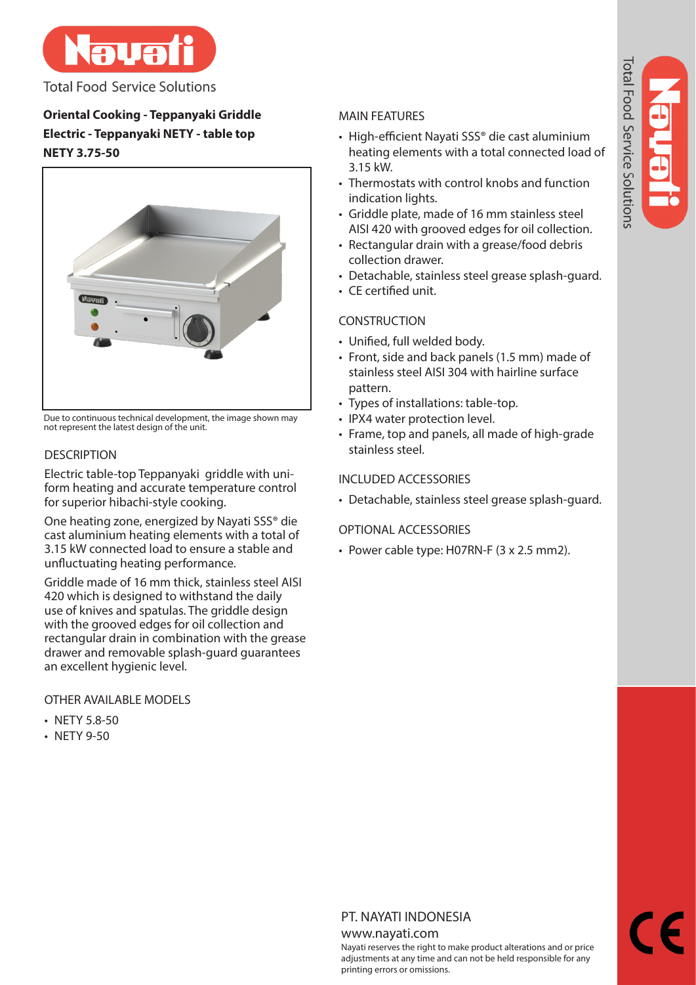

**Total Food Service Solutions** 

# **Oriental Cooking - Teppanyaki Griddle Electric - Teppanyaki NETY - table top NETY 3.75-50**



Due to continuous technical development, the image shown may not represent the latest design of the unit.

# **DESCRIPTION**

Electric table-top Teppanyaki griddle with uniform heating and accurate temperature control for superior hibachi-style cooking.

One heating zone, energized by Nayati SSS® die cast aluminium heating elements with a total of 3.15 kW connected load to ensure a stable and unfluctuating heating performance.

Griddle made of 16 mm thick, stainless steel AISI 420 which is designed to withstand the daily use of knives and spatulas. The griddle design with the grooved edges for oil collection and rectangular drain in combination with the grease drawer and removable splash-guard guarantees an excellent hygienic level.

OTHER AVAILABLE MODELS

- NETY 5.8-50
- NETY 9-50

# MAIN FEATURES

- High-efficient Nayati SSS® die cast aluminium heating elements with a total connected load of 3.15 kW.
- Thermostats with control knobs and function indication lights.
- Griddle plate, made of 16 mm stainless steel AISI 420 with grooved edges for oil collection.
- Rectangular drain with a grease/food debris collection drawer.
- Detachable, stainless steel grease splash-guard.
- CE certified unit.

# **CONSTRUCTION**

- Unified, full welded body.
- Front, side and back panels (1.5 mm) made of stainless steel AISI 304 with hairline surface pattern.
- Types of installations: table-top.
- IPX4 water protection level.
- Frame, top and panels, all made of high-grade stainless steel.

# INCLUDED ACCESSORIES

• Detachable, stainless steel grease splash-guard.

# OPTIONAL ACCESSORIES

• Power cable type: H07RN-F (3 x 2.5 mm2).

# PT. NAYATI INDONESIA

#### www.nayati.com

Nayati reserves the right to make product alterations and or price adjustments at any time and can not be held responsible for any printing errors or omissions.